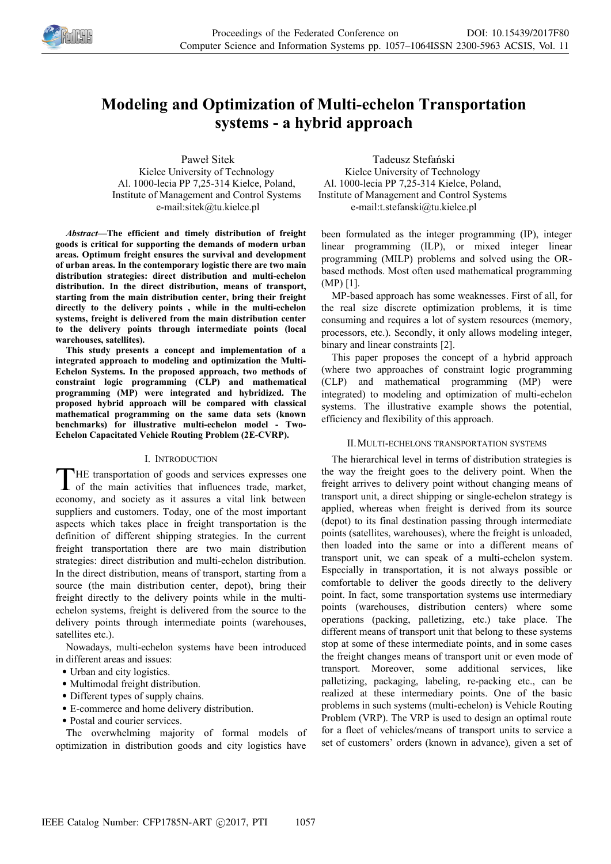

# **Modeling and Optimization of Multi-echelon Transportation systems - a hybrid approach**

Paweł Sitek Kielce University of Technology Al. 1000-lecia PP 7,25-314 Kielce, Poland, Institute of Management and Control Systems e-mail:sitek@tu.kielce.pl

*Abstract—***The efficient and timely distribution of freight goods is critical for supporting the demands of modern urban areas. Optimum freight ensures the survival and development of urban areas. In the contemporary logistic there are two main distribution strategies: direct distribution and multi-echelon distribution. In the direct distribution, means of transport, starting from the main distribution center, bring their freight directly to the delivery points , while in the multi-echelon systems, freight is delivered from the main distribution center to the delivery points through intermediate points (local warehouses, satellites).**

**This study presents a concept and implementation of a integrated approach to modeling and optimization the Multi-Echelon Systems. In the proposed approach, two methods of constraint logic programming (CLP) and mathematical programming (MP) were integrated and hybridized. The proposed hybrid approach will be compared with classical mathematical programming on the same data sets (known benchmarks) for illustrative multi-echelon model - Two-Echelon Capacitated Vehicle Routing Problem (2E-CVRP).**

#### I. INTRODUCTION

HE transportation of goods and services expresses one THE transportation of goods and services expresses one<br>of the main activities that influences trade, market, economy, and society as it assures a vital link between suppliers and customers. Today, one of the most important aspects which takes place in freight transportation is the definition of different shipping strategies. In the current freight transportation there are two main distribution strategies: direct distribution and multi-echelon distribution. In the direct distribution, means of transport, starting from a source (the main distribution center, depot), bring their freight directly to the delivery points while in the multiechelon systems, freight is delivered from the source to the delivery points through intermediate points (warehouses, satellites etc.).

Nowadays, multi-echelon systems have been introduced in different areas and issues:

- Urban and city logistics.
- Multimodal freight distribution.
- Different types of supply chains.
- E-commerce and home delivery distribution.
- Postal and courier services.

The overwhelming majority of formal models of optimization in distribution goods and city logistics have

Tadeusz Stefański Kielce University of Technology Al. 1000-lecia PP 7,25-314 Kielce, Poland, Institute of Management and Control Systems e-mail:t.stefanski@tu.kielce.pl

been formulated as the integer programming (IP), integer linear programming (ILP), or mixed integer linear programming (MILP) problems and solved using the ORbased methods. Most often used mathematical programming (MP) [1].

MP-based approach has some weaknesses. First of all, for the real size discrete optimization problems, it is time consuming and requires a lot of system resources (memory, processors, etc.). Secondly, it only allows modeling integer, binary and linear constraints [2].

This paper proposes the concept of a hybrid approach (where two approaches of constraint logic programming (CLP) and mathematical programming (MP) were integrated) to modeling and optimization of multi-echelon systems. The illustrative example shows the potential, efficiency and flexibility of this approach.

## II.MULTI-ECHELONS TRANSPORTATION SYSTEMS

The hierarchical level in terms of distribution strategies is the way the freight goes to the delivery point. When the freight arrives to delivery point without changing means of transport unit, a direct shipping or single-echelon strategy is applied, whereas when freight is derived from its source (depot) to its final destination passing through intermediate points (satellites, warehouses), where the freight is unloaded, then loaded into the same or into a different means of transport unit, we can speak of a multi-echelon system. Especially in transportation, it is not always possible or comfortable to deliver the goods directly to the delivery point. In fact, some transportation systems use intermediary points (warehouses, distribution centers) where some operations (packing, palletizing, etc.) take place. The different means of transport unit that belong to these systems stop at some of these intermediate points, and in some cases the freight changes means of transport unit or even mode of transport. Moreover, some additional services, like palletizing, packaging, labeling, re-packing etc., can be realized at these intermediary points. One of the basic problems in such systems (multi-echelon) is Vehicle Routing Problem (VRP). The VRP is used to design an optimal route for a fleet of vehicles/means of transport units to service a set of customers' orders (known in advance), given a set of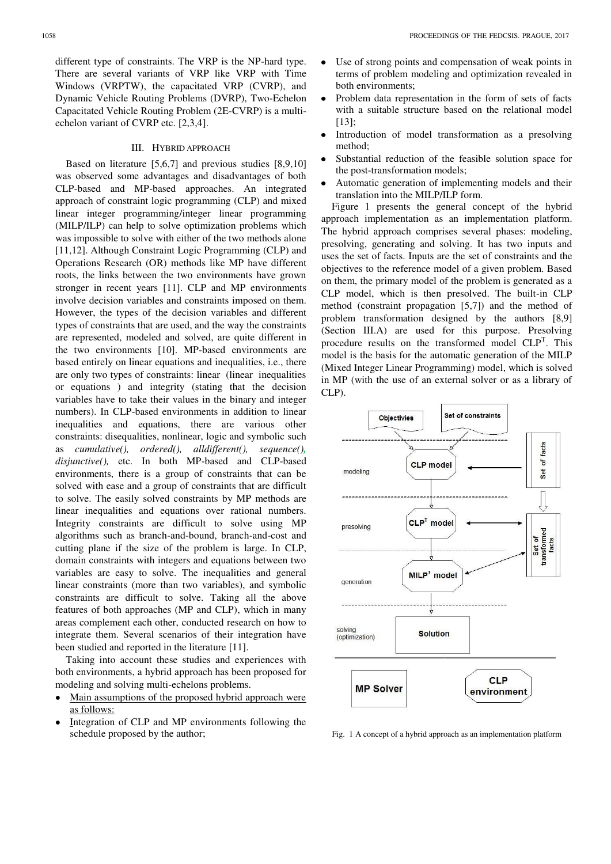different type of constraints. The VRP is the NP-hard type. There are several variants of VRP like VRP with Time Windows (VRPTW), the capacitated VRP (CVRP), and Dynamic Vehicle Routing Problems (DVRP), Two-Echelon Capacitated Vehicle Routing Problem (2E-CVRP) is a multiechelon variant of CVRP etc. [2,3,4].

#### III. HYBRID APPROACH

Based on literature [5,6,7] and previous studies [8,9,10] was observed some advantages and disadvantages of both CLP-based and MP-based approaches. An integrated approach of constraint logic programming (CLP) and mixed linear integer programming/integer linear programming (MILP/ILP) can help to solve optimization problems which was impossible to solve with either of the two methods alone [11,12]. Although Constraint Logic Programming (CLP) and Operations Research (OR) methods like MP have different roots, the links between the two environments have grown stronger in recent years [11]. CLP and MP environments involve decision variables and constraints imposed on them. However, the types of the decision variables and different types of constraints that are used, and the way the constraints are represented, modeled and solved, are quite different in the two environments [10]. MP-based environments are based entirely on linear equations and inequalities, i.e., there are only two types of constraints: linear (linear inequalities or equations ) and integrity (stating that the decision variables have to take their values in the binary and integer numbers). In CLP-based environments in addition to linear inequalities and equations, there are various other constraints: disequalities, nonlinear, logic and symbolic such as *cumulative(), ordered(), alldifferent(), sequence(), disjunctive(),* etc. In both MP-based and CLP-based environments, there is a group of constraints that can be solved with ease and a group of constraints that are difficult to solve. The easily solved constraints by MP methods are linear inequalities and equations over rational numbers. Integrity constraints are difficult to solve using MP algorithms such as branch-and-bound, branch-and-cost and cutting plane if the size of the problem is large. In CLP, domain constraints with integers and equations between two variables are easy to solve. The inequalities and general linear constraints (more than two variables), and symbolic constraints are difficult to solve. Taking all the above features of both approaches (MP and CLP), which in many areas complement each other, conducted research on how to integrate them. Several scenarios of their integration have been studied and reported in the literature [11].

Taking into account these studies and experiences with both environments, a hybrid approach has been proposed for modeling and solving multi-echelons problems.

- Main assumptions of the proposed hybrid approach were as follows:
- Integration of CLP and MP environments following the schedule proposed by the author;
- Use of strong points and compensation of weak points in  $\bullet$ terms of problem modeling and optimization revealed in both environments;
- $\bullet$ Problem data representation in the form of sets of facts with a suitable structure based on the relational model [13];
- Introduction of model transformation as a presolving  $\bullet$ method;
- Substantial reduction of the feasible solution space for  $\bullet$ the post-transformation models;
- Automatic generation of implementing models and their translation into the MILP/ILP form.

Figure 1 presents the general concept of the hybrid approach implementation as an implementation platform. The hybrid approach comprises several phases: modeling, presolving, generating and solving. It has two inputs and uses the set of facts. Inputs are the set of constraints and the objectives to the reference model of a given problem. Based on them, the primary model of the problem is generated as a CLP model, which is then presolved. The built-in CLP method (constraint propagation [5,7]) and the method of problem transformation designed by the authors [8,9] (Section III.A) are used for this purpose. Presolving procedure results on the transformed model  $CLP<sup>T</sup>$ . This model is the basis for the automatic generation of the MILP (Mixed Integer Linear Programming) model, which is solved in MP (with the use of an external solver or as a library of CLP).



Fig. 1 A concept of a hybrid approach as an implementation platform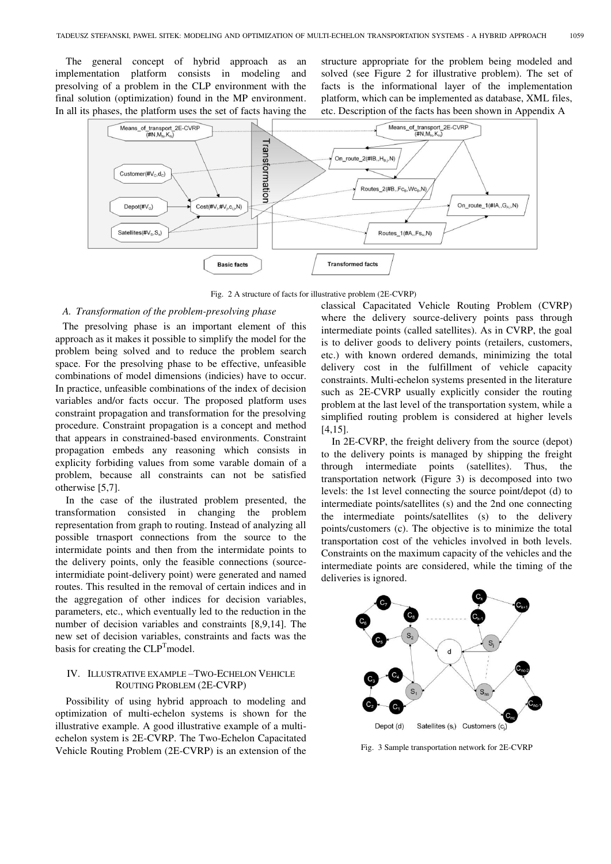The general concept of hybrid approach as an implementation platform consists in modeling and presolving of a problem in the CLP environment with the final solution (optimization) found in the MP environment. In all its phases, the platform uses the set of facts having the structure appropriate for the problem being modeled and solved (see Figure 2 for illustrative problem). The set of facts is the informational layer of the implementation platform, which can be implemented as database, XML files, etc. Description of the facts has been shown in Appendix A



Fig. 2 A structure of facts for illustrative problem (2E-CVRP)

# *A. Transformation of the problem-presolving phase*

The presolving phase is an important element of this approach as it makes it possible to simplify the model for the problem being solved and to reduce the problem search space. For the presolving phase to be effective, unfeasible combinations of model dimensions (indicies) have to occur. In practice, unfeasible combinations of the index of decision variables and/or facts occur. The proposed platform uses constraint propagation and transformation for the presolving procedure. Constraint propagation is a concept and method that appears in constrained-based environments. Constraint propagation embeds any reasoning which consists in explicity forbiding values from some varable domain of a problem, because all constraints can not be satisfied otherwise [5,7].

In the case of the ilustrated problem presented, the transformation consisted in changing the problem representation from graph to routing. Instead of analyzing all possible trnasport connections from the source to the intermidate points and then from the intermidate points to the delivery points, only the feasible connections (sourceintermidiate point-delivery point) were generated and named routes. This resulted in the removal of certain indices and in the aggregation of other indices for decision variables, parameters, etc., which eventually led to the reduction in the number of decision variables and constraints [8,9,14]. The new set of decision variables, constraints and facts was the basis for creating the  $CLP<sup>T</sup>$  model.

# IV. ILLUSTRATIVE EXAMPLE –TWO-ECHELON VEHICLE ROUTING PROBLEM (2E-CVRP)

Possibility of using hybrid approach to modeling and optimization of multi-echelon systems is shown for the illustrative example. A good illustrative example of a multiechelon system is 2E-CVRP. The Two-Echelon Capacitated Vehicle Routing Problem (2E-CVRP) is an extension of the classical Capacitated Vehicle Routing Problem (CVRP) where the delivery source-delivery points pass through intermediate points (called satellites). As in CVRP, the goal is to deliver goods to delivery points (retailers, customers, etc.) with known ordered demands, minimizing the total delivery cost in the fulfillment of vehicle capacity constraints. Multi-echelon systems presented in the literature such as 2E-CVRP usually explicitly consider the routing problem at the last level of the transportation system, while a simplified routing problem is considered at higher levels [4,15].

In 2E-CVRP, the freight delivery from the source (depot) to the delivery points is managed by shipping the freight through intermediate points (satellites). Thus, the transportation network (Figure 3) is decomposed into two levels: the 1st level connecting the source point/depot (d) to intermediate points/satellites (s) and the 2nd one connecting the intermediate points/satellites (s) to the delivery points/customers (c). The objective is to minimize the total transportation cost of the vehicles involved in both levels. Constraints on the maximum capacity of the vehicles and the intermediate points are considered, while the timing of the deliveries is ignored.



Fig. 3 Sample transportation network for 2E-CVRP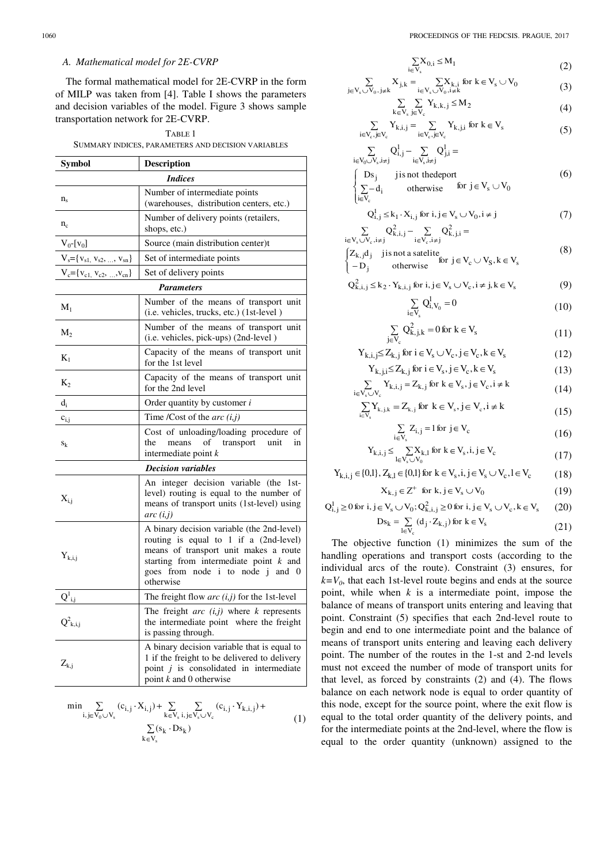## *A. Mathematical model for 2E-CVRP*

The formal mathematical model for 2E-CVRP in the form of MILP was taken from [4]. Table I shows the parameters and decision variables of the model. Figure 3 shows sample transportation network for 2E-CVRP.

## TABLE 1 SUMMARY INDICES, PARAMETERS AND DECISION VARIABLES

| Symbol                                     | <b>Description</b>                                                                                                                                                                                                         |  |  |  |
|--------------------------------------------|----------------------------------------------------------------------------------------------------------------------------------------------------------------------------------------------------------------------------|--|--|--|
| <b>Indices</b>                             |                                                                                                                                                                                                                            |  |  |  |
| $n_{\rm s}$                                | Number of intermediate points<br>(warehouses, distribution centers, etc.)                                                                                                                                                  |  |  |  |
| $n_c$                                      | Number of delivery points (retailers,<br>shops, etc.)                                                                                                                                                                      |  |  |  |
| $V_0$ -[ $v_0$ ]                           | Source (main distribution center)t                                                                                                                                                                                         |  |  |  |
| $V_s = \{v_{s1}, v_{s2}, \ldots, v_{sn}\}$ | Set of intermediate points                                                                                                                                                                                                 |  |  |  |
| $V_c = \{V_{c1}, V_{c2}, , V_{cn}\}$       | Set of delivery points                                                                                                                                                                                                     |  |  |  |
| <b>Parameters</b>                          |                                                                                                                                                                                                                            |  |  |  |
| $M_1$                                      | Number of the means of transport unit<br>(i.e. vehicles, trucks, etc.) (1st-level)                                                                                                                                         |  |  |  |
| $M_2$                                      | Number of the means of transport unit<br>(i.e. vehicles, pick-ups) (2nd-level)                                                                                                                                             |  |  |  |
| $K_1$                                      | Capacity of the means of transport unit<br>for the 1st level                                                                                                                                                               |  |  |  |
| $K_2$                                      | Capacity of the means of transport unit<br>for the 2nd level                                                                                                                                                               |  |  |  |
| $d_i$                                      | Order quantity by customer <i>i</i>                                                                                                                                                                                        |  |  |  |
| $c_{i,j}$                                  | Time /Cost of the $arc (i,j)$                                                                                                                                                                                              |  |  |  |
| $S_k$                                      | Cost of unloading/loading procedure of<br>transport<br>the<br>means<br>of<br>unit<br>in<br>intermediate point $k$                                                                                                          |  |  |  |
| <b>Decision variables</b>                  |                                                                                                                                                                                                                            |  |  |  |
| $X_{i,i}$                                  | An integer decision variable (the 1st-<br>level) routing is equal to the number of<br>means of transport units (1st-level) using<br>arc(i,j)                                                                               |  |  |  |
| $Y_{k,i,j}$                                | A binary decision variable (the 2nd-level)<br>routing is equal to 1 if a (2nd-level)<br>means of transport unit makes a route<br>starting from intermediate point $k$ and<br>goes from node i to node j and 0<br>otherwise |  |  |  |
| $Q^1_{i,j}$                                | The freight flow $arc(i,j)$ for the 1st-level                                                                                                                                                                              |  |  |  |
| $Q^2_{k,i,j}$                              | The freight $arc (i,j)$ where $k$ represents<br>the intermediate point where the freight<br>is passing through.                                                                                                            |  |  |  |
| $Z_{k,j}$                                  | A binary decision variable that is equal to<br>1 if the freight to be delivered to delivery<br>point $j$ is consolidated in intermediate<br>point $k$ and $0$ otherwise                                                    |  |  |  |

$$
\min \sum_{i,j \in V_0 \cup V_s} (c_{i,j} \cdot X_{i,j}) + \sum_{k \in V_s} \sum_{i,j \in V_s \cup V_c} (c_{i,j} \cdot Y_{k,i,j}) + \sum_{k \in V_s} (s_k \cdot D s_k)
$$
\n(1)

$$
\sum_{i \in V_s} X_{0,i} \le M_1 \tag{2}
$$

$$
\sum_{j \in V_s \cup V_0, j \neq k} X_{j,k} = \sum_{i \in V_s \cup V_0, i \neq k} X_{k,i} \text{ for } k \in V_s \cup V_0
$$
\n(3)

$$
\sum_{k \in V_s} \sum_{j \in V_c} Y_{k,k,j} \le M_2 \tag{4}
$$

$$
\sum_{i \in V_c, j \in V_c} Y_{k,i,j} = \sum_{i \in V_c, j \in V_c} Y_{k,j,i} \text{ for } k \in V_s
$$
 (5)

$$
\sum_{i \in V_0 \cup V_s, i \neq j} Q_{i,j}^1 - \sum_{i \in V_s, i \neq j} Q_{j,i}^1 =
$$
\n
$$
\begin{cases}\n\text{Ds}_j & \text{ji} \text{ is not the} \text{deport} \\
\sum - d_i & \text{otherwise}\n\end{cases} \quad (6)
$$

$$
Q_{i,j}^l \le k_1 \cdot X_{i,j} \text{ for } i,j \in V_s \cup V_0, i \ne j \tag{7}
$$

$$
\sum_{i \in V_s \cup V_c, i \neq j} Q_{k,i,j}^2 - \sum_{i \in V_c, i \neq j} Q_{k,j,i}^2 =
$$
\n
$$
\begin{cases}\nZ_{k,j}d_j & \text{if } j \text{ is not a satellite} \\
-D_j & \text{otherwise}\n\end{cases} \quad (8)
$$

 $i \in V_c$ 

 $\mathbf{Q}$ 

$$
{}_{k,i,j}^{2} \leq k_{2} \cdot Y_{k,i,j} \text{ for } i,j \in V_{s} \cup V_{c}, i \neq j, k \in V_{s}
$$
 (9)

Vi

 $i\in$ 

$$
\sum_{v_{s}} Q_{i, V_{0}}^{1} = 0
$$
\n(10)

$$
\sum_{V_c} Q_{k,j,k}^2 = 0 \text{ for } k \in V_s \tag{11}
$$

$$
Y_{k,i,j} \le Z_{k,j} \text{ for } i \in V_s \cup V_c, j \in V_c, k \in V_s \tag{12}
$$

$$
Y_{k,j,i} \le Z_{k,j} \text{ for } i \in V_s, j \in V_c, k \in V_s \tag{13}
$$

$$
\sum_{i \in V_s \cup V_c} Y_{k,i,j} = Z_{k,j} \text{ for } k \in V_s, j \in V_c, i \neq k
$$
\n(14)

$$
\sum_{i \in V_s} Y_{k,j,k} = Z_{k,j} \text{ for } k \in V_s, j \in V_c, i \neq k
$$
\n(15)

$$
\sum_{i \in V_s} Z_{i,j} = 1 \text{ for } j \in V_c \tag{16}
$$

$$
Y_{k,i,j} \le \sum_{l \in V_s \cup V_0} X_{k,l} \text{ for } k \in V_s, i,j \in V_c \tag{17}
$$

$$
Y_{k,i,j} \in \{0,1\}, Z_{k,l} \in \{0,1\} \text{ for } k \in V_s, i,j \in V_s \cup V_c, l \in V_c \tag{18}
$$

$$
X_{k,j} \in Z^+ \text{ for } k, j \in V_s \cup V_0 \tag{19}
$$

$$
Q_{i,j}^l \geq 0 \text{ for } i,j \in V_s \cup V_0; Q_{k,i,j}^2 \geq 0 \text{ for } i,j \in V_s \cup V_c, k \in V_s \qquad (20)
$$

$$
Ds_k = \sum_{l \in V_c} (d_j \cdot Z_{k,j}) \text{ for } k \in V_s \tag{21}
$$

The objective function (1) minimizes the sum of the handling operations and transport costs (according to the individual arcs of the route). Constraint (3) ensures, for  $k=V_0$ , that each 1st-level route begins and ends at the source point, while when *k* is a intermediate point, impose the balance of means of transport units entering and leaving that point. Constraint (5) specifies that each 2nd-level route to begin and end to one intermediate point and the balance of means of transport units entering and leaving each delivery point. The number of the routes in the 1-st and 2-nd levels must not exceed the number of mode of transport units for that level, as forced by constraints (2) and (4). The flows balance on each network node is equal to order quantity of this node, except for the source point, where the exit flow is equal to the total order quantity of the delivery points, and for the intermediate points at the 2nd-level, where the flow is equal to the order quantity (unknown) assigned to the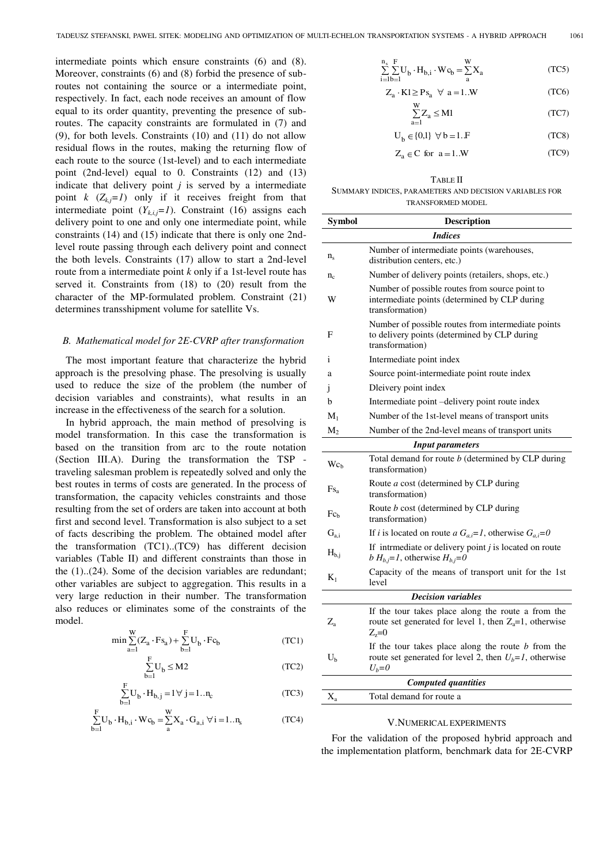intermediate points which ensure constraints (6) and (8). Moreover, constraints (6) and (8) forbid the presence of subroutes not containing the source or a intermediate point, respectively. In fact, each node receives an amount of flow equal to its order quantity, preventing the presence of subroutes. The capacity constraints are formulated in (7) and (9), for both levels. Constraints (10) and (11) do not allow residual flows in the routes, making the returning flow of each route to the source (1st-level) and to each intermediate point (2nd-level) equal to 0. Constraints (12) and (13) indicate that delivery point *j* is served by a intermediate point  $k$  ( $Z_k$ *j*=1) only if it receives freight from that intermediate point  $(Y_{k,i,j}=1)$ . Constraint (16) assigns each delivery point to one and only one intermediate point, while constraints (14) and (15) indicate that there is only one 2ndlevel route passing through each delivery point and connect the both levels. Constraints (17) allow to start a 2nd-level route from a intermediate point *k* only if a 1st-level route has served it. Constraints from (18) to (20) result from the character of the MP-formulated problem. Constraint (21) determines transshipment volume for satellite Vs.

## *B. Mathematical model for 2E-CVRP after transformation*

The most important feature that characterize the hybrid approach is the presolving phase. The presolving is usually used to reduce the size of the problem (the number of decision variables and constraints), what results in an increase in the effectiveness of the search for a solution.

In hybrid approach, the main method of presolving is model transformation. In this case the transformation is based on the transition from arc to the route notation (Section III.A). During the transformation the TSP traveling salesman problem is repeatedly solved and only the best routes in terms of costs are generated. In the process of transformation, the capacity vehicles constraints and those resulting from the set of orders are taken into account at both first and second level. Transformation is also subject to a set of facts describing the problem. The obtained model after the transformation (TC1)..(TC9) has different decision variables (Table II) and different constraints than those in the (1)..(24). Some of the decision variables are redundant; other variables are subject to aggregation. This results in a very large reduction in their number. The transformation also reduces or eliminates some of the constraints of the model.

$$
\min \sum_{a=1}^W (Z_a \cdot F s_a) + \sum_{b=1}^F U_b \cdot F c_b \tag{TC1}
$$

$$
\sum_{b=1}^{F} U_b \le M2
$$
 (TC2)

$$
\sum_{b=1}^{F} U_b \cdot H_{b,j} = 1 \,\forall \, j = 1..n_c \tag{TC3}
$$

$$
\sum_{b=1}^{F} U_b \cdot H_{b,i} \cdot Wc_b = \sum_{a}^{W} X_a \cdot G_{a,i} \ \forall \ i = 1..n_s
$$
 (TC4)

$$
\sum_{i=1}^{n_s} \sum_{b=1}^{F} U_b \cdot H_{b,i} \cdot Wc_b = \sum_{a}^{W} X_a
$$
 (TC5)

$$
Z_a \cdot K1 \ge P s_a \quad \forall \ a = 1..W \tag{TC6}
$$

$$
\sum_{a=1}^{W} Z_a \le M1
$$
 (TC7)

$$
U_b \in \{0,1\} \quad \forall \ b = 1.F \tag{TC8}
$$

$$
Z_a \in C \text{ for } a = 1..W \tag{TC9}
$$

#### TABLE II SUMMARY INDICES, PARAMETERS AND DECISION VARIABLES FOR TRANSFORMED MODEL

| Symbol                     | Description                                                                                                                    |  |
|----------------------------|--------------------------------------------------------------------------------------------------------------------------------|--|
|                            | <i>Indices</i>                                                                                                                 |  |
|                            | Number of intermediate points (warehouses,                                                                                     |  |
| $n_{\rm s}$                | distribution centers, etc.)                                                                                                    |  |
| $n_c$                      | Number of delivery points (retailers, shops, etc.)                                                                             |  |
| W                          | Number of possible routes from source point to<br>intermediate points (determined by CLP during<br>transformation)             |  |
| F                          | Number of possible routes from intermediate points<br>to delivery points (determined by CLP during<br>transformation)          |  |
| i                          | Intermediate point index                                                                                                       |  |
| a                          | Source point-intermediate point route index                                                                                    |  |
| 1                          | Dleivery point index                                                                                                           |  |
| b                          | Intermediate point -delivery point route index                                                                                 |  |
| $M_1$                      | Number of the 1st-level means of transport units                                                                               |  |
| $M_2$                      | Number of the 2nd-level means of transport units                                                                               |  |
|                            | <b>Input parameters</b>                                                                                                        |  |
| Wc <sub>h</sub>            | Total demand for route <i>b</i> (determined by CLP during<br>transformation)                                                   |  |
| $Fs_a$                     | Route a cost (determined by CLP during<br>transformation)                                                                      |  |
| $Fc_h$                     | Route <i>b</i> cost (determined by CLP during<br>transformation)                                                               |  |
| $G_{a,i}$                  | If <i>i</i> is located on route <i>a</i> $G_{a,i}=1$ , otherwise $G_{a,i}=0$                                                   |  |
| $H_{b,i}$                  | If intrmediate or delivery point $j$ is located on route<br>b $H_{b,i} = I$ , otherwise $H_{b,i} = 0$                          |  |
| $K_1$                      | Capacity of the means of transport unit for the 1st<br>level                                                                   |  |
| <b>Decision variables</b>  |                                                                                                                                |  |
| $Z_{\rm a}$                | If the tour takes place along the route a from the<br>route set generated for level 1, then $Z_a=1$ , otherwise<br>$Z_{z}=0$   |  |
| $U_{b}$                    | If the tour takes place along the route $b$ from the<br>route set generated for level 2, then $U_b = I$ , otherwise<br>$U_b=0$ |  |
| <b>Computed quantities</b> |                                                                                                                                |  |
| $X_{a}$                    | Total demand for route a                                                                                                       |  |

#### V.NUMERICAL EXPERIMENTS

For the validation of the proposed hybrid approach and the implementation platform, benchmark data for 2E-CVRP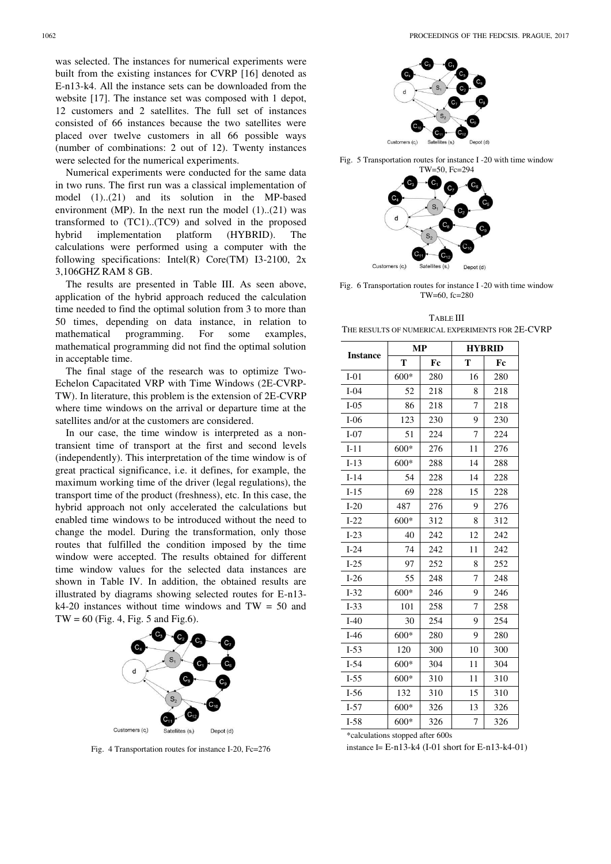was selected. The instances for numerical experiments were built from the existing instances for CVRP [16] denoted as E-n13-k4. All the instance sets can be downloaded from the website [17]. The instance set was composed with 1 depot, 12 customers and 2 satellites. The full set of instances consisted of 66 instances because the two satellites were placed over twelve customers in all 66 possible ways (number of combinations: 2 out of 12). Twenty instances were selected for the numerical experiments.

Numerical experiments were conducted for the same data in two runs. The first run was a classical implementation of model (1)..(21) and its solution in the MP-based environment (MP). In the next run the model  $(1)$ .. $(21)$  was transformed to (TC1)..(TC9) and solved in the proposed hybrid implementation platform (HYBRID). The calculations were performed using a computer with the following specifications: Intel(R) Core(TM) I3-2100, 2x 3,106GHZ RAM 8 GB.

The results are presented in Table III. As seen above, application of the hybrid approach reduced the calculation time needed to find the optimal solution from 3 to more than 50 times, depending on data instance, in relation to mathematical programming. For some examples, mathematical programming did not find the optimal solution in acceptable time.

The final stage of the research was to optimize Two-Echelon Capacitated VRP with Time Windows (2E-CVRP-TW). In literature, this problem is the extension of 2E-CVRP where time windows on the arrival or departure time at the satellites and/or at the customers are considered.

In our case, the time window is interpreted as a nontransient time of transport at the first and second levels (independently). This interpretation of the time window is of great practical significance, i.e. it defines, for example, the maximum working time of the driver (legal regulations), the transport time of the product (freshness), etc*.* In this case, the hybrid approach not only accelerated the calculations but enabled time windows to be introduced without the need to change the model. During the transformation, only those routes that fulfilled the condition imposed by the time window were accepted. The results obtained for different time window values for the selected data instances are shown in Table IV. In addition, the obtained results are illustrated by diagrams showing selected routes for E-n13  $k4-20$  instances without time windows and TW = 50 and  $TW = 60$  (Fig. 4, Fig. 5 and Fig. 6).



Fig. 4 Transportation routes for instance I-20, Fc=276



Fig. 5 Transportation routes for instance I -20 with time window



Fig. 6 Transportation routes for instance I -20 with time window TW=60, fc=280

| <b>TABLE III</b>                                 |
|--------------------------------------------------|
| THE RESULTS OF NUMERICAL EXPERIMENTS FOR 2E-CVRP |

|                 | <b>MP</b> |     | <b>HYBRID</b> |     |  |
|-----------------|-----------|-----|---------------|-----|--|
| <b>Instance</b> | T         | Fc  | T             | Fc  |  |
| $I-01$          | $600*$    | 280 | 16            | 280 |  |
| $I-04$          | 52        | 218 | 8             | 218 |  |
| $I-05$          | 86        | 218 | 7             | 218 |  |
| $I-06$          | 123       | 230 | 9             | 230 |  |
| $I-07$          | 51        | 224 | 7             | 224 |  |
| $I-11$          | 600*      | 276 | 11            | 276 |  |
| $I-13$          | $600*$    | 288 | 14            | 288 |  |
| $I-14$          | 54        | 228 | 14            | 228 |  |
| $I-15$          | 69        | 228 | 15            | 228 |  |
| $I-20$          | 487       | 276 | 9<br>276      |     |  |
| $I-22$          | $600*$    | 312 | 8             | 312 |  |
| $I-23$          | 40        | 242 | 12            | 242 |  |
| $I-24$          | 74        | 242 | 11            | 242 |  |
| $I-25$          | 97        | 252 | 8             | 252 |  |
| $I-26$          | 55        | 248 | 7             | 248 |  |
| $I-32$          | $600*$    | 246 | 9             | 246 |  |
| $I-33$          | 101       | 258 | 7             | 258 |  |
| $I-40$          | 30        | 254 | 9             | 254 |  |
| $I-46$          | $600*$    | 280 | 9             | 280 |  |
| $I-53$          | 120       | 300 | 10            | 300 |  |
| $I-54$          | $600*$    | 304 | 11            | 304 |  |
| $I-55$          | $600*$    | 310 | 11            | 310 |  |
| $I-56$          | 132       | 310 | 15            | 310 |  |
| $I-57$          | $600*$    | 326 | 13            | 326 |  |
| $I-58$          | $600*$    | 326 | 7             | 326 |  |

\*calculations stopped after 600s

instance I= E-n13-k4 (I-01 short for E-n13-k4-01)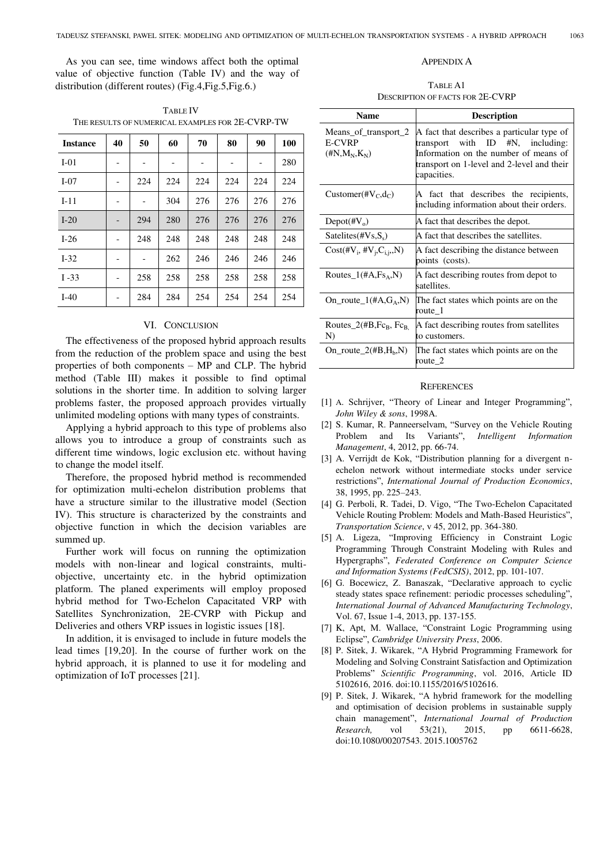As you can see, time windows affect both the optimal value of objective function (Table IV) and the way of distribution (different routes) (Fig.4,Fig.5,Fig.6.)

| <b>Instance</b> | 40                           | 50             | 60  | 70  | 80  | 90  | 100 |
|-----------------|------------------------------|----------------|-----|-----|-----|-----|-----|
| $I-01$          | -                            | $\overline{a}$ |     | -   |     |     | 280 |
| $I-07$          | $\qquad \qquad \blacksquare$ | 224            | 224 | 224 | 224 | 224 | 224 |
| $I-11$          |                              |                | 304 | 276 | 276 | 276 | 276 |
| $I-20$          |                              | 294            | 280 | 276 | 276 | 276 | 276 |
| $I-26$          | -                            | 248            | 248 | 248 | 248 | 248 | 248 |
| $I-32$          | -                            | -              | 262 | 246 | 246 | 246 | 246 |
| $I - 33$        | -                            | 258            | 258 | 258 | 258 | 258 | 258 |
| $I-40$          | -                            | 284            | 284 | 254 | 254 | 254 | 254 |

TABLE IV THE RESULTS OF NUMERICAL EXAMPLES FOR 2E-CVRP-TW

## VI. CONCLUSION

The effectiveness of the proposed hybrid approach results from the reduction of the problem space and using the best properties of both components – MP and CLP. The hybrid method (Table III) makes it possible to find optimal solutions in the shorter time. In addition to solving larger problems faster, the proposed approach provides virtually unlimited modeling options with many types of constraints.

Applying a hybrid approach to this type of problems also allows you to introduce a group of constraints such as different time windows, logic exclusion etc. without having to change the model itself.

Therefore, the proposed hybrid method is recommended for optimization multi-echelon distribution problems that have a structure similar to the illustrative model (Section IV). This structure is characterized by the constraints and objective function in which the decision variables are summed up.

Further work will focus on running the optimization models with non-linear and logical constraints, multiobjective, uncertainty etc. in the hybrid optimization platform. The planed experiments will employ proposed hybrid method for Two-Echelon Capacitated VRP with Satellites Synchronization, 2E-CVRP with Pickup and Deliveries and others VRP issues in logistic issues [18].

In addition, it is envisaged to include in future models the lead times [19,20]. In the course of further work on the hybrid approach, it is planned to use it for modeling and optimization of IoT processes [21].

# APPENDIX A

TABLE A1 DESCRIPTION OF FACTS FOR 2E-CVRP

| Name                                                      | <b>Description</b>                                                                                                                                                                     |
|-----------------------------------------------------------|----------------------------------------------------------------------------------------------------------------------------------------------------------------------------------------|
| Means of transport 2<br><b>E-CVRP</b><br>$(HN, M_N, K_N)$ | A fact that describes a particular type of<br>transport with $ID$ #N, including:<br>Information on the number of means of<br>transport on 1-level and 2-level and their<br>capacities. |
| Customer(# $V_C$ , $d_C$ )                                | A fact that describes the recipients,<br>including information about their orders.                                                                                                     |
| $Depot(\#V_0)$                                            | A fact that describes the depot.                                                                                                                                                       |
| $Satelites(\#Vs, S_s)$                                    | A fact that describes the satellites.                                                                                                                                                  |
| $Cost(\#V_i, \#V_i, C_{i,i}, N)$                          | A fact describing the distance between<br>points (costs).                                                                                                                              |
| Routes $1(\#A, Fs_A, N)$                                  | A fact describing routes from depot to<br>satellites.                                                                                                                                  |
| On route $1(\#A, G_A, N)$                                 | The fact states which points are on the<br>route 1                                                                                                                                     |
| Routes_2(#B, $Fc_B$ , $Fc_B$ )<br>N)                      | A fact describing routes from satellites<br>to customers.                                                                                                                              |
| On_route_2(#B, $H_h$ ,N)                                  | The fact states which points are on the<br>route_ $2$                                                                                                                                  |

#### **REFERENCES**

- [1] A. Schrijver, "Theory of Linear and Integer Programming", *John Wiley & sons*, 1998A.
- [2] S. Kumar, R. Panneerselvam, "Survey on the Vehicle Routing Problem and Its Variants", *Intelligent Information Management*, 4, 2012, pp. 66-74.
- [3] A. Verrijdt de Kok, "Distribution planning for a divergent nechelon network without intermediate stocks under service restrictions", *International Journal of Production Economics*, 38, 1995, pp. 225–243.
- [4] G. Perboli, R. Tadei, D. Vigo, "The Two-Echelon Capacitated Vehicle Routing Problem: Models and Math-Based Heuristics", *Transportation Science*, v 45, 2012, pp. 364-380.
- [5] A. Ligeza, "Improving Efficiency in Constraint Logic Programming Through Constraint Modeling with Rules and Hypergraphs", *Federated Conference on Computer Science and Information Systems (FedCSIS)*, 2012, pp. 101-107.
- [6] G. Bocewicz, Z. Banaszak, "Declarative approach to cyclic steady states space refinement: periodic processes scheduling", *International Journal of Advanced Manufacturing Technology*, Vol. 67, Issue 1-4, 2013, pp. 137-155.
- [7] K, Apt, M. Wallace, "Constraint Logic Programming using Eclipse", *Cambridge University Press*, 2006.
- [8] P. Sitek, J. Wikarek, "A Hybrid Programming Framework for Modeling and Solving Constraint Satisfaction and Optimization Problems" *Scientific Programming*, vol. 2016, Article ID 5102616, 2016. doi:10.1155/2016/5102616.
- [9] P. Sitek, J. Wikarek, "A hybrid framework for the modelling and optimisation of decision problems in sustainable supply chain management", *International Journal of Production Research,* vol 53(21), 2015, pp 6611-6628, doi:10.1080/00207543. 2015.1005762